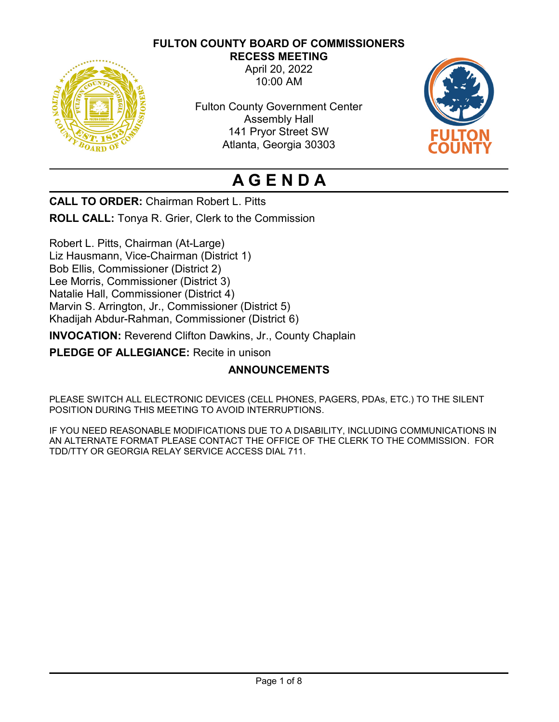# **FULTON COUNTY BOARD OF COMMISSIONERS**



**RECESS MEETING** April 20, 2022 10:00 AM

Fulton County Government Center Assembly Hall 141 Pryor Street SW Atlanta, Georgia 30303



# **A G E N D A**

**CALL TO ORDER:** Chairman Robert L. Pitts

**ROLL CALL:** Tonya R. Grier, Clerk to the Commission

Robert L. Pitts, Chairman (At-Large) Liz Hausmann, Vice-Chairman (District 1) Bob Ellis, Commissioner (District 2) Lee Morris, Commissioner (District 3) Natalie Hall, Commissioner (District 4) Marvin S. Arrington, Jr., Commissioner (District 5) Khadijah Abdur-Rahman, Commissioner (District 6)

**INVOCATION:** Reverend Clifton Dawkins, Jr., County Chaplain

**PLEDGE OF ALLEGIANCE:** Recite in unison

# **ANNOUNCEMENTS**

PLEASE SWITCH ALL ELECTRONIC DEVICES (CELL PHONES, PAGERS, PDAs, ETC.) TO THE SILENT POSITION DURING THIS MEETING TO AVOID INTERRUPTIONS.

IF YOU NEED REASONABLE MODIFICATIONS DUE TO A DISABILITY, INCLUDING COMMUNICATIONS IN AN ALTERNATE FORMAT PLEASE CONTACT THE OFFICE OF THE CLERK TO THE COMMISSION. FOR TDD/TTY OR GEORGIA RELAY SERVICE ACCESS DIAL 711.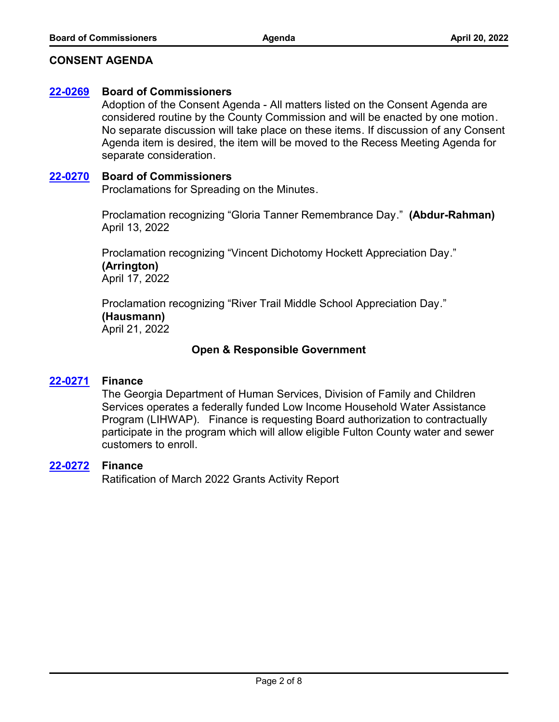# **CONSENT AGENDA**

## **[22-0269](http://fulton.legistar.com/gateway.aspx?m=l&id=/matter.aspx?key=10718) Board of Commissioners**

Adoption of the Consent Agenda - All matters listed on the Consent Agenda are considered routine by the County Commission and will be enacted by one motion. No separate discussion will take place on these items. If discussion of any Consent Agenda item is desired, the item will be moved to the Recess Meeting Agenda for separate consideration.

## **[22-0270](http://fulton.legistar.com/gateway.aspx?m=l&id=/matter.aspx?key=10719) Board of Commissioners**

Proclamations for Spreading on the Minutes.

Proclamation recognizing "Gloria Tanner Remembrance Day." **(Abdur-Rahman)** April 13, 2022

Proclamation recognizing "Vincent Dichotomy Hockett Appreciation Day." **(Arrington)** April 17, 2022

Proclamation recognizing "River Trail Middle School Appreciation Day." **(Hausmann)** April 21, 2022

# **Open & Responsible Government**

#### **[22-0271](http://fulton.legistar.com/gateway.aspx?m=l&id=/matter.aspx?key=10703) Finance**

The Georgia Department of Human Services, Division of Family and Children Services operates a federally funded Low Income Household Water Assistance Program (LIHWAP). Finance is requesting Board authorization to contractually participate in the program which will allow eligible Fulton County water and sewer customers to enroll.

## **[22-0272](http://fulton.legistar.com/gateway.aspx?m=l&id=/matter.aspx?key=10704) Finance**

Ratification of March 2022 Grants Activity Report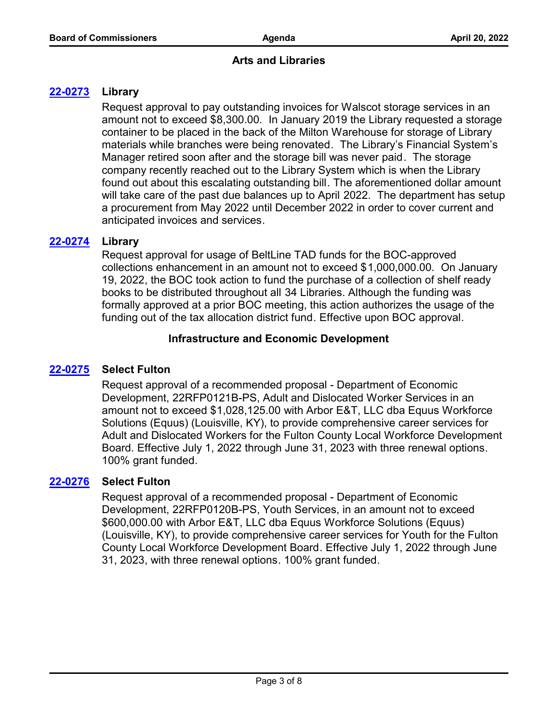# **Arts and Libraries**

# **[22-0273](http://fulton.legistar.com/gateway.aspx?m=l&id=/matter.aspx?key=10685) Library**

Request approval to pay outstanding invoices for Walscot storage services in an amount not to exceed \$8,300.00. In January 2019 the Library requested a storage container to be placed in the back of the Milton Warehouse for storage of Library materials while branches were being renovated. The Library's Financial System's Manager retired soon after and the storage bill was never paid. The storage company recently reached out to the Library System which is when the Library found out about this escalating outstanding bill. The aforementioned dollar amount will take care of the past due balances up to April 2022. The department has setup a procurement from May 2022 until December 2022 in order to cover current and anticipated invoices and services.

# **[22-0274](http://fulton.legistar.com/gateway.aspx?m=l&id=/matter.aspx?key=10686) Library**

Request approval for usage of BeltLine TAD funds for the BOC-approved collections enhancement in an amount not to exceed \$1,000,000.00. On January 19, 2022, the BOC took action to fund the purchase of a collection of shelf ready books to be distributed throughout all 34 Libraries. Although the funding was formally approved at a prior BOC meeting, this action authorizes the usage of the funding out of the tax allocation district fund. Effective upon BOC approval.

# **Infrastructure and Economic Development**

# **[22-0275](http://fulton.legistar.com/gateway.aspx?m=l&id=/matter.aspx?key=10629) Select Fulton**

Request approval of a recommended proposal - Department of Economic Development, 22RFP0121B-PS, Adult and Dislocated Worker Services in an amount not to exceed \$1,028,125.00 with Arbor E&T, LLC dba Equus Workforce Solutions (Equus) (Louisville, KY), to provide comprehensive career services for Adult and Dislocated Workers for the Fulton County Local Workforce Development Board. Effective July 1, 2022 through June 31, 2023 with three renewal options. 100% grant funded.

# **[22-0276](http://fulton.legistar.com/gateway.aspx?m=l&id=/matter.aspx?key=10630) Select Fulton**

Request approval of a recommended proposal - Department of Economic Development, 22RFP0120B-PS, Youth Services, in an amount not to exceed \$600,000.00 with Arbor E&T, LLC dba Equus Workforce Solutions (Equus) (Louisville, KY), to provide comprehensive career services for Youth for the Fulton County Local Workforce Development Board. Effective July 1, 2022 through June 31, 2023, with three renewal options. 100% grant funded.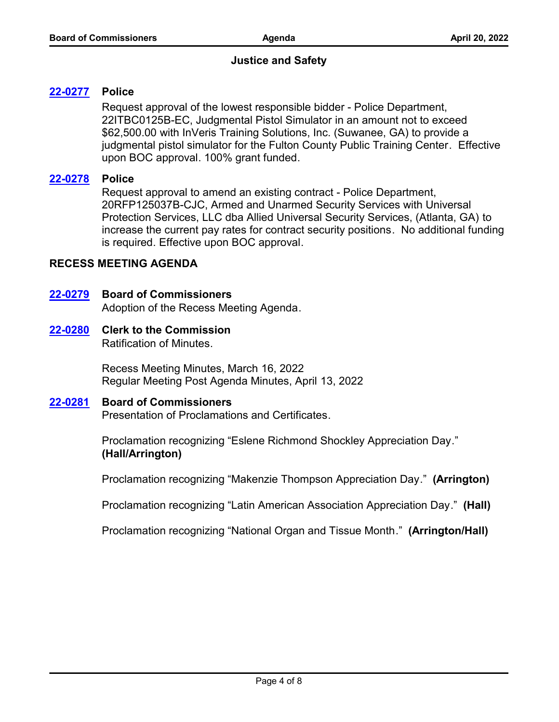# **Justice and Safety**

# **[22-0277](http://fulton.legistar.com/gateway.aspx?m=l&id=/matter.aspx?key=10574) Police**

Request approval of the lowest responsible bidder - Police Department, 22ITBC0125B-EC, Judgmental Pistol Simulator in an amount not to exceed \$62,500.00 with InVeris Training Solutions, Inc. (Suwanee, GA) to provide a judgmental pistol simulator for the Fulton County Public Training Center. Effective upon BOC approval. 100% grant funded.

# **[22-0278](http://fulton.legistar.com/gateway.aspx?m=l&id=/matter.aspx?key=10628) Police**

Request approval to amend an existing contract - Police Department, 20RFP125037B-CJC, Armed and Unarmed Security Services with Universal Protection Services, LLC dba Allied Universal Security Services, (Atlanta, GA) to increase the current pay rates for contract security positions. No additional funding is required. Effective upon BOC approval.

# **RECESS MEETING AGENDA**

# **[22-0279](http://fulton.legistar.com/gateway.aspx?m=l&id=/matter.aspx?key=10720) Board of Commissioners**

Adoption of the Recess Meeting Agenda.

# **[22-0280](http://fulton.legistar.com/gateway.aspx?m=l&id=/matter.aspx?key=10721) Clerk to the Commission**

Ratification of Minutes.

Recess Meeting Minutes, March 16, 2022 Regular Meeting Post Agenda Minutes, April 13, 2022

# **[22-0281](http://fulton.legistar.com/gateway.aspx?m=l&id=/matter.aspx?key=10722) Board of Commissioners**

Presentation of Proclamations and Certificates.

Proclamation recognizing "Eslene Richmond Shockley Appreciation Day." **(Hall/Arrington)**

Proclamation recognizing "Makenzie Thompson Appreciation Day." **(Arrington)**

Proclamation recognizing "Latin American Association Appreciation Day." **(Hall)**

Proclamation recognizing "National Organ and Tissue Month." **(Arrington/Hall)**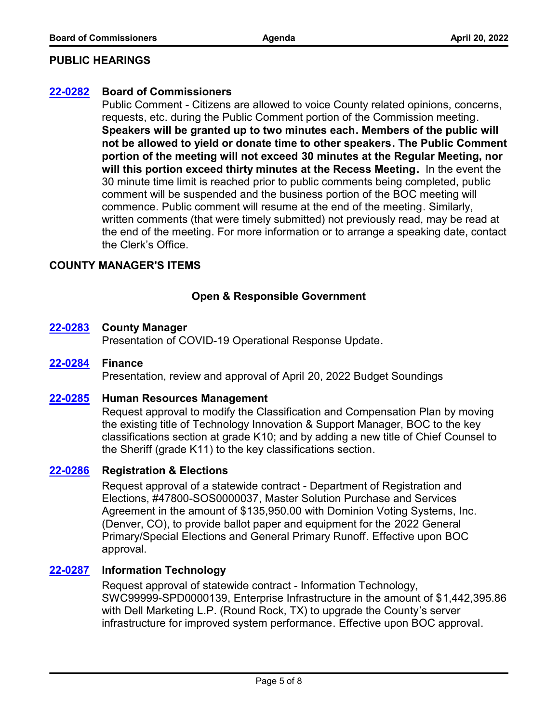## **PUBLIC HEARINGS**

## **[22-0282](http://fulton.legistar.com/gateway.aspx?m=l&id=/matter.aspx?key=10723) Board of Commissioners**

Public Comment - Citizens are allowed to voice County related opinions, concerns, requests, etc. during the Public Comment portion of the Commission meeting. **Speakers will be granted up to two minutes each. Members of the public will not be allowed to yield or donate time to other speakers. The Public Comment portion of the meeting will not exceed 30 minutes at the Regular Meeting, nor will this portion exceed thirty minutes at the Recess Meeting.** In the event the 30 minute time limit is reached prior to public comments being completed, public comment will be suspended and the business portion of the BOC meeting will commence. Public comment will resume at the end of the meeting. Similarly, written comments (that were timely submitted) not previously read, may be read at the end of the meeting. For more information or to arrange a speaking date, contact the Clerk's Office.

## **COUNTY MANAGER'S ITEMS**

# **Open & Responsible Government**

#### **[22-0283](http://fulton.legistar.com/gateway.aspx?m=l&id=/matter.aspx?key=10696) County Manager**

Presentation of COVID-19 Operational Response Update.

#### **[22-0284](http://fulton.legistar.com/gateway.aspx?m=l&id=/matter.aspx?key=10454) Finance**

Presentation, review and approval of April 20, 2022 Budget Soundings

#### **[22-0285](http://fulton.legistar.com/gateway.aspx?m=l&id=/matter.aspx?key=10728) Human Resources Management**

Request approval to modify the Classification and Compensation Plan by moving the existing title of Technology Innovation & Support Manager, BOC to the key classifications section at grade K10; and by adding a new title of Chief Counsel to the Sheriff (grade K11) to the key classifications section.

#### **[22-0286](http://fulton.legistar.com/gateway.aspx?m=l&id=/matter.aspx?key=10558) Registration & Elections**

Request approval of a statewide contract - Department of Registration and Elections, #47800-SOS0000037, Master Solution Purchase and Services Agreement in the amount of \$135,950.00 with Dominion Voting Systems, Inc. (Denver, CO), to provide ballot paper and equipment for the 2022 General Primary/Special Elections and General Primary Runoff. Effective upon BOC approval.

## **[22-0287](http://fulton.legistar.com/gateway.aspx?m=l&id=/matter.aspx?key=10623) Information Technology**

Request approval of statewide contract - Information Technology, SWC99999-SPD0000139, Enterprise Infrastructure in the amount of \$1,442,395.86 with Dell Marketing L.P. (Round Rock, TX) to upgrade the County's server infrastructure for improved system performance. Effective upon BOC approval.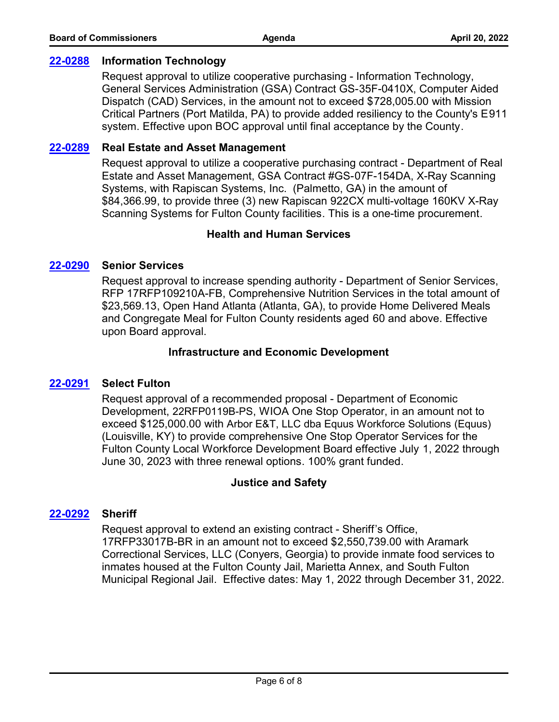## **[22-0288](http://fulton.legistar.com/gateway.aspx?m=l&id=/matter.aspx?key=10624) Information Technology**

Request approval to utilize cooperative purchasing - Information Technology, General Services Administration (GSA) Contract GS-35F-0410X, Computer Aided Dispatch (CAD) Services, in the amount not to exceed \$728,005.00 with Mission Critical Partners (Port Matilda, PA) to provide added resiliency to the County's E911 system. Effective upon BOC approval until final acceptance by the County.

## **[22-0289](http://fulton.legistar.com/gateway.aspx?m=l&id=/matter.aspx?key=10632) Real Estate and Asset Management**

Request approval to utilize a cooperative purchasing contract - Department of Real Estate and Asset Management, GSA Contract #GS-07F-154DA, X-Ray Scanning Systems, with Rapiscan Systems, Inc. (Palmetto, GA) in the amount of \$84,366.99, to provide three (3) new Rapiscan 922CX multi-voltage 160KV X-Ray Scanning Systems for Fulton County facilities. This is a one-time procurement.

# **Health and Human Services**

# **[22-0290](http://fulton.legistar.com/gateway.aspx?m=l&id=/matter.aspx?key=10403) Senior Services**

Request approval to increase spending authority - Department of Senior Services, RFP 17RFP109210A-FB, Comprehensive Nutrition Services in the total amount of \$23,569.13, Open Hand Atlanta (Atlanta, GA), to provide Home Delivered Meals and Congregate Meal for Fulton County residents aged 60 and above. Effective upon Board approval.

## **Infrastructure and Economic Development**

# **[22-0291](http://fulton.legistar.com/gateway.aspx?m=l&id=/matter.aspx?key=10631) Select Fulton**

Request approval of a recommended proposal - Department of Economic Development, 22RFP0119B-PS, WIOA One Stop Operator, in an amount not to exceed \$125,000.00 with Arbor E&T, LLC dba Equus Workforce Solutions (Equus) (Louisville, KY) to provide comprehensive One Stop Operator Services for the Fulton County Local Workforce Development Board effective July 1, 2022 through June 30, 2023 with three renewal options. 100% grant funded.

#### **Justice and Safety**

# **[22-0292](http://fulton.legistar.com/gateway.aspx?m=l&id=/matter.aspx?key=10584) Sheriff**

Request approval to extend an existing contract - Sheriff's Office, 17RFP33017B-BR in an amount not to exceed \$2,550,739.00 with Aramark Correctional Services, LLC (Conyers, Georgia) to provide inmate food services to inmates housed at the Fulton County Jail, Marietta Annex, and South Fulton Municipal Regional Jail. Effective dates: May 1, 2022 through December 31, 2022.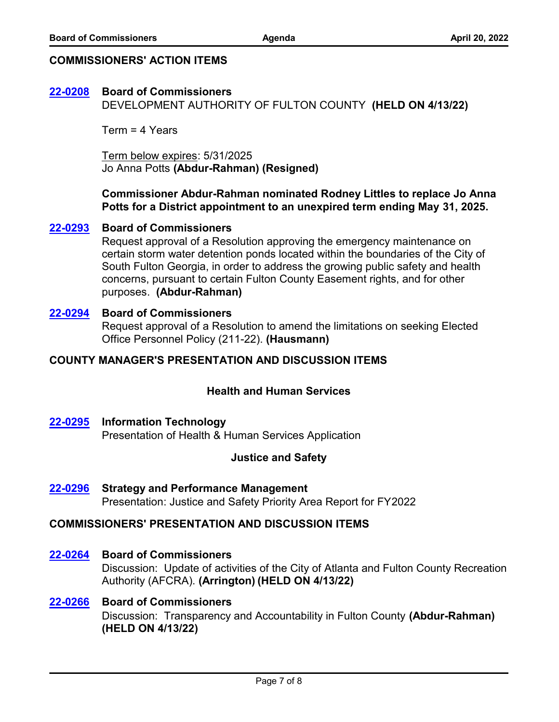# **COMMISSIONERS' ACTION ITEMS**

# **[22-0208](http://fulton.legistar.com/gateway.aspx?m=l&id=/matter.aspx?key=10699) Board of Commissioners**

DEVELOPMENT AUTHORITY OF FULTON COUNTY **(HELD ON 4/13/22)**

Term = 4 Years

Term below expires: 5/31/2025 Jo Anna Potts **(Abdur-Rahman) (Resigned)**

**Commissioner Abdur-Rahman nominated Rodney Littles to replace Jo Anna Potts for a District appointment to an unexpired term ending May 31, 2025.**

## **[22-0293](http://fulton.legistar.com/gateway.aspx?m=l&id=/matter.aspx?key=10730) Board of Commissioners**

Request approval of a Resolution approving the emergency maintenance on certain storm water detention ponds located within the boundaries of the City of South Fulton Georgia, in order to address the growing public safety and health concerns, pursuant to certain Fulton County Easement rights, and for other purposes. **(Abdur-Rahman)**

## Request approval of a Resolution to amend the limitations on seeking Elected Office Personnel Policy (211-22). **(Hausmann) [22-0294](http://fulton.legistar.com/gateway.aspx?m=l&id=/matter.aspx?key=10702) Board of Commissioners**

# **COUNTY MANAGER'S PRESENTATION AND DISCUSSION ITEMS**

# **Health and Human Services**

# **[22-0295](http://fulton.legistar.com/gateway.aspx?m=l&id=/matter.aspx?key=10687) Information Technology**

Presentation of Health & Human Services Application

# **Justice and Safety**

Presentation: Justice and Safety Priority Area Report for FY2022 **[22-0296](http://fulton.legistar.com/gateway.aspx?m=l&id=/matter.aspx?key=10708) Strategy and Performance Management**

# **COMMISSIONERS' PRESENTATION AND DISCUSSION ITEMS**

# **[22-0264](http://fulton.legistar.com/gateway.aspx?m=l&id=/matter.aspx?key=10677) Board of Commissioners**

Discussion: Update of activities of the City of Atlanta and Fulton County Recreation Authority (AFCRA). **(Arrington) (HELD ON 4/13/22)** 

# **[22-0266](http://fulton.legistar.com/gateway.aspx?m=l&id=/matter.aspx?key=10695) Board of Commissioners**

Discussion: Transparency and Accountability in Fulton County **(Abdur-Rahman) (HELD ON 4/13/22)**